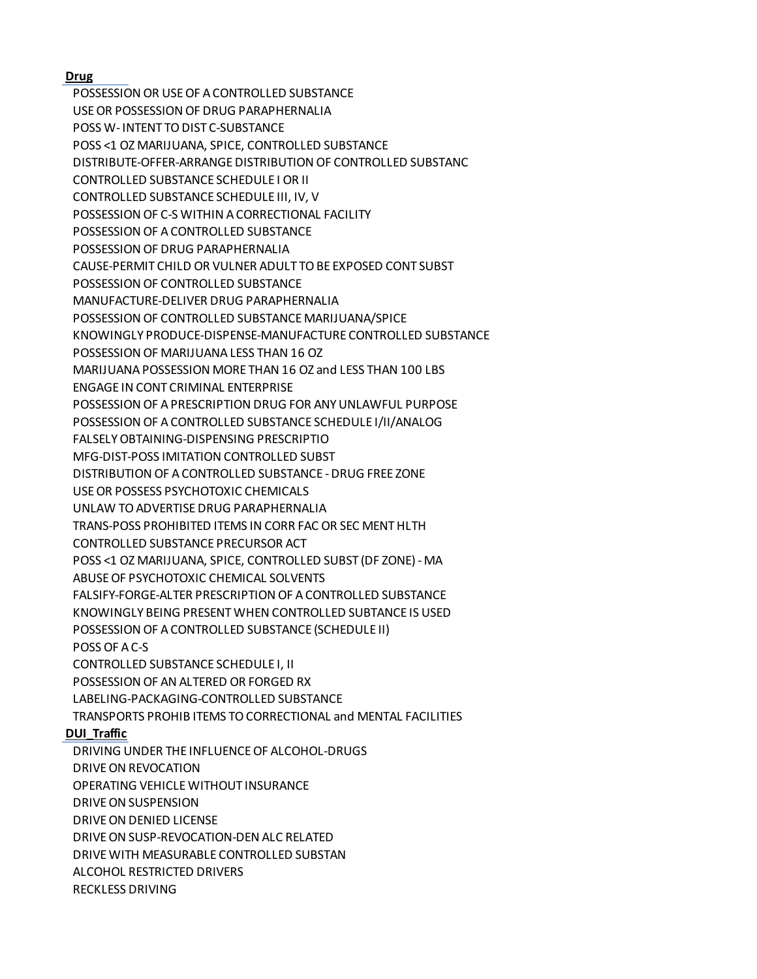## **Drug**

POSSESSION OR USE OF A CONTROLLED SUBSTANCE USE OR POSSESSION OF DRUG PARAPHERNALIA POSS W- INTENT TO DIST C-SUBSTANCE POSS <1 OZ MARIJUANA, SPICE, CONTROLLED SUBSTANCE DISTRIBUTE-OFFER-ARRANGE DISTRIBUTION OF CONTROLLED SUBSTANC CONTROLLED SUBSTANCE SCHEDULE I OR II CONTROLLED SUBSTANCE SCHEDULE III, IV, V POSSESSION OF C-S WITHIN A CORRECTIONAL FACILITY POSSESSION OF A CONTROLLED SUBSTANCE POSSESSION OF DRUG PARAPHERNALIA CAUSE-PERMIT CHILD OR VULNER ADULT TO BE EXPOSED CONT SUBST POSSESSION OF CONTROLLED SUBSTANCE MANUFACTURE-DELIVER DRUG PARAPHERNALIA POSSESSION OF CONTROLLED SUBSTANCE MARIJUANA/SPICE KNOWINGLY PRODUCE-DISPENSE-MANUFACTURE CONTROLLED SUBSTANCE POSSESSION OF MARIJUANA LESS THAN 16 OZ MARIJUANA POSSESSION MORE THAN 16 OZ and LESS THAN 100 LBS ENGAGE IN CONT CRIMINAL ENTERPRISE POSSESSION OF A PRESCRIPTION DRUG FOR ANY UNLAWFUL PURPOSE POSSESSION OF A CONTROLLED SUBSTANCE SCHEDULE I/II/ANALOG FALSELY OBTAINING-DISPENSING PRESCRIPTIO MFG-DIST-POSS IMITATION CONTROLLED SUBST DISTRIBUTION OF A CONTROLLED SUBSTANCE - DRUG FREE ZONE USE OR POSSESS PSYCHOTOXIC CHEMICALS UNLAW TO ADVERTISE DRUG PARAPHERNALIA TRANS-POSS PROHIBITED ITEMS IN CORR FAC OR SEC MENT HLTH CONTROLLED SUBSTANCE PRECURSOR ACT POSS <1 OZ MARIJUANA, SPICE, CONTROLLED SUBST (DF ZONE) - MA ABUSE OF PSYCHOTOXIC CHEMICAL SOLVENTS FALSIFY-FORGE-ALTER PRESCRIPTION OF A CONTROLLED SUBSTANCE KNOWINGLY BEING PRESENT WHEN CONTROLLED SUBTANCE IS USED POSSESSION OF A CONTROLLED SUBSTANCE (SCHEDULE II) POSS OF A C-S CONTROLLED SUBSTANCE SCHEDULE I, II POSSESSION OF AN ALTERED OR FORGED RX LABELING-PACKAGING-CONTROLLED SUBSTANCE TRANSPORTS PROHIB ITEMS TO CORRECTIONAL and MENTAL FACILITIES **DUI\_Traffic** DRIVING UNDER THE INFLUENCE OF ALCOHOL-DRUGS DRIVE ON REVOCATION OPERATING VEHICLE WITHOUT INSURANCE DRIVE ON SUSPENSION DRIVE ON DENIED LICENSE DRIVE ON SUSP-REVOCATION-DEN ALC RELATED

DRIVE WITH MEASURABLE CONTROLLED SUBSTAN

ALCOHOL RESTRICTED DRIVERS

RECKLESS DRIVING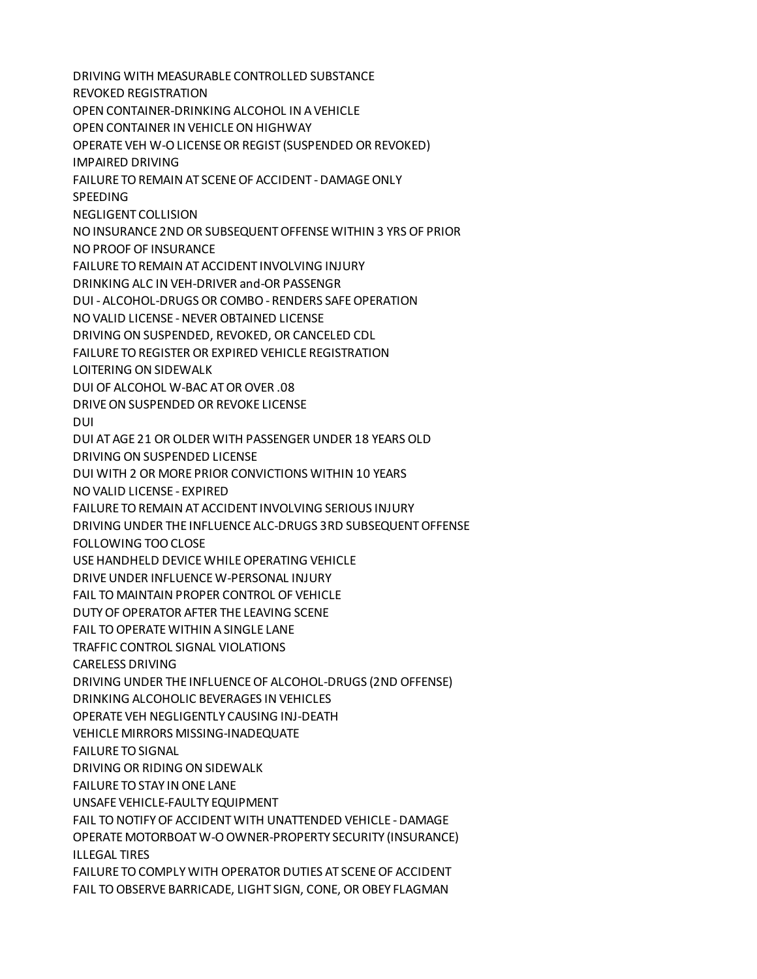DRIVING WITH MEASURABLE CONTROLLED SUBSTANCE REVOKED REGISTRATION OPEN CONTAINER-DRINKING ALCOHOL IN A VEHICLE OPEN CONTAINER IN VEHICLE ON HIGHWAY OPERATE VEH W-O LICENSE OR REGIST (SUSPENDED OR REVOKED) IMPAIRED DRIVING FAILURE TO REMAIN AT SCENE OF ACCIDENT - DAMAGE ONLY **SPEEDING** NEGLIGENT COLLISION NO INSURANCE 2ND OR SUBSEQUENT OFFENSE WITHIN 3 YRS OF PRIOR NO PROOF OF INSURANCE FAILURE TO REMAIN AT ACCIDENT INVOLVING INJURY DRINKING ALC IN VEH-DRIVER and-OR PASSENGR DUI - ALCOHOL-DRUGS OR COMBO - RENDERS SAFE OPERATION NO VALID LICENSE - NEVER OBTAINED LICENSE DRIVING ON SUSPENDED, REVOKED, OR CANCELED CDL FAILURE TO REGISTER OR EXPIRED VEHICLE REGISTRATION LOITERING ON SIDEWALK DUI OF ALCOHOL W-BAC AT OR OVER .08 DRIVE ON SUSPENDED OR REVOKE LICENSE DUI DUI AT AGE 21 OR OLDER WITH PASSENGER UNDER 18 YEARS OLD DRIVING ON SUSPENDED LICENSE DUI WITH 2 OR MORE PRIOR CONVICTIONS WITHIN 10 YEARS NO VALID LICENSE - EXPIRED FAILURE TO REMAIN AT ACCIDENT INVOLVING SERIOUS INJURY DRIVING UNDER THE INFLUENCE ALC-DRUGS 3RD SUBSEQUENT OFFENSE FOLLOWING TOO CLOSE USE HANDHELD DEVICE WHILE OPERATING VEHICLE DRIVE UNDER INFLUENCE W-PERSONAL INJURY FAIL TO MAINTAIN PROPER CONTROL OF VEHICLE DUTY OF OPERATOR AFTER THE LEAVING SCENE FAIL TO OPERATE WITHIN A SINGLE LANE TRAFFIC CONTROL SIGNAL VIOLATIONS CARELESS DRIVING DRIVING UNDER THE INFLUENCE OF ALCOHOL-DRUGS (2ND OFFENSE) DRINKING ALCOHOLIC BEVERAGES IN VEHICLES OPERATE VEH NEGLIGENTLY CAUSING INJ-DEATH VEHICLE MIRRORS MISSING-INADEQUATE FAILURE TO SIGNAL DRIVING OR RIDING ON SIDEWALK FAILURE TO STAY IN ONE LANE UNSAFE VEHICLE-FAULTY EQUIPMENT FAIL TO NOTIFY OF ACCIDENT WITH UNATTENDED VEHICLE - DAMAGE OPERATE MOTORBOAT W-O OWNER-PROPERTY SECURITY (INSURANCE) ILLEGAL TIRES FAILURE TO COMPLY WITH OPERATOR DUTIES AT SCENE OF ACCIDENT FAIL TO OBSERVE BARRICADE, LIGHT SIGN, CONE, OR OBEY FLAGMAN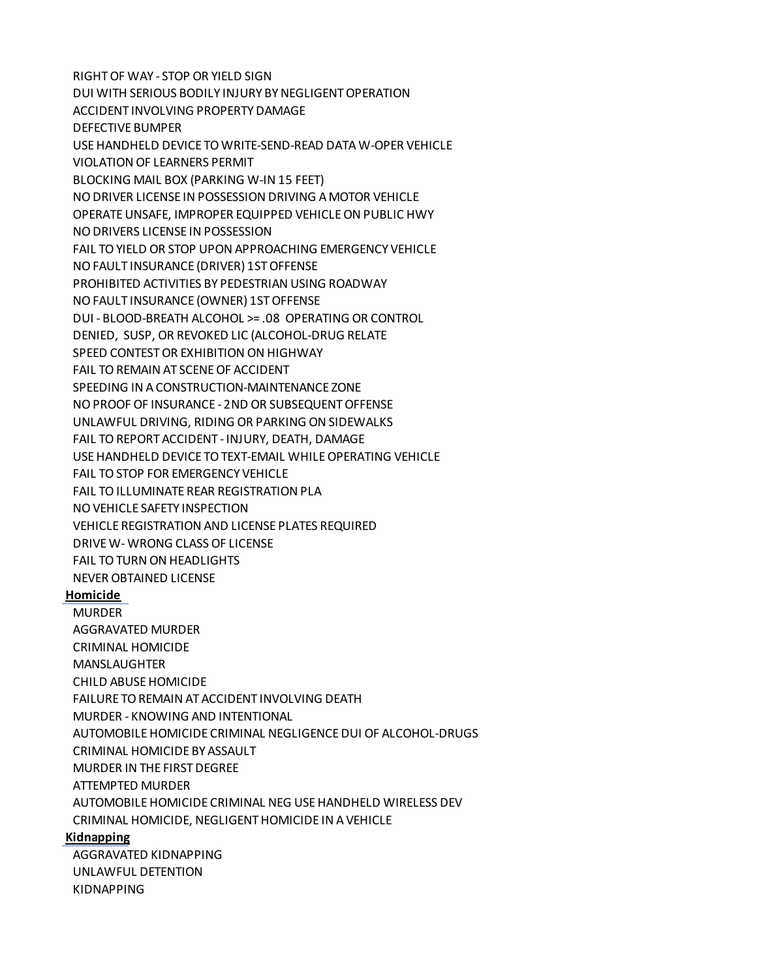RIGHT OF WAY - STOP OR YIELD SIGN DUI WITH SERIOUS BODILY INJURY BY NEGLIGENT OPERATION ACCIDENT INVOLVING PROPERTY DAMAGE DEFECTIVE BUMPER USE HANDHELD DEVICE TO WRITE-SEND-READ DATA W-OPER VEHICLE VIOLATION OF LEARNERS PERMIT BLOCKING MAIL BOX (PARKING W-IN 15 FEET) NO DRIVER LICENSE IN POSSESSION DRIVING A MOTOR VEHICLE OPERATE UNSAFE, IMPROPER EQUIPPED VEHICLE ON PUBLIC HWY NO DRIVERS LICENSE IN POSSESSION FAIL TO YIELD OR STOP UPON APPROACHING EMERGENCY VEHICLE NO FAULT INSURANCE (DRIVER) 1ST OFFENSE PROHIBITED ACTIVITIES BY PEDESTRIAN USING ROADWAY NO FAULT INSURANCE (OWNER) 1ST OFFENSE DUI - BLOOD-BREATH ALCOHOL >= .08 OPERATING OR CONTROL DENIED, SUSP, OR REVOKED LIC (ALCOHOL-DRUG RELATE SPEED CONTEST OR EXHIBITION ON HIGHWAY FAIL TO REMAIN AT SCENE OF ACCIDENT SPEEDING IN A CONSTRUCTION-MAINTENANCE ZONE NO PROOF OF INSURANCE - 2ND OR SUBSEQUENT OFFENSE UNLAWFUL DRIVING, RIDING OR PARKING ON SIDEWALKS FAIL TO REPORT ACCIDENT - INJURY, DEATH, DAMAGE USE HANDHELD DEVICE TO TEXT-EMAIL WHILE OPERATING VEHICLE FAIL TO STOP FOR EMERGENCY VEHICLE FAIL TO ILLUMINATE REAR REGISTRATION PLA NO VEHICLE SAFETY INSPECTION VEHICLE REGISTRATION AND LICENSE PLATES REQUIRED DRIVE W- WRONG CLASS OF LICENSE FAIL TO TURN ON HEADLIGHTS NEVER OBTAINED LICENSE **Homicide** MURDER AGGRAVATED MURDER CRIMINAL HOMICIDE MANSLAUGHTER CHILD ABUSE HOMICIDE FAILURE TO REMAIN AT ACCIDENT INVOLVING DEATH MURDER - KNOWING AND INTENTIONAL AUTOMOBILE HOMICIDE CRIMINAL NEGLIGENCE DUI OF ALCOHOL-DRUGS CRIMINAL HOMICIDE BY ASSAULT MURDER IN THE FIRST DEGREE ATTEMPTED MURDER AUTOMOBILE HOMICIDE CRIMINAL NEG USE HANDHELD WIRELESS DEV CRIMINAL HOMICIDE, NEGLIGENT HOMICIDE IN A VEHICLE **Kidnapping** AGGRAVATED KIDNAPPING

UNLAWFUL DETENTION

KIDNAPPING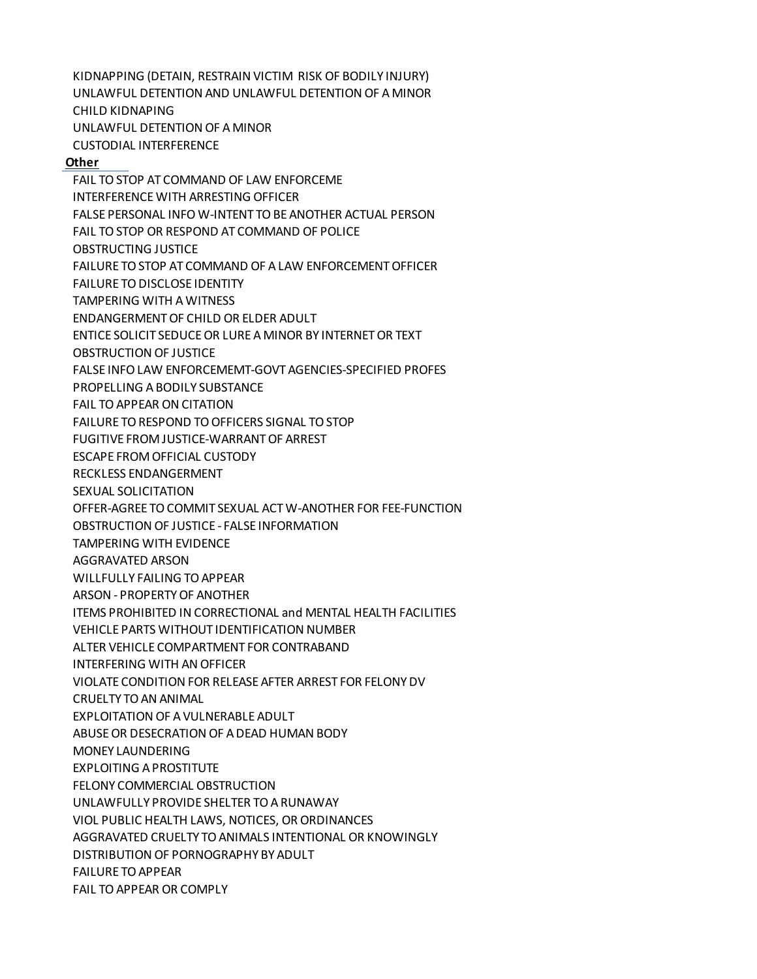KIDNAPPING (DETAIN, RESTRAIN VICTIM RISK OF BODILY INJURY) UNLAWFUL DETENTION AND UNLAWFUL DETENTION OF A MINOR CHILD KIDNAPING UNLAWFUL DETENTION OF A MINOR CUSTODIAL INTERFERENCE

## **Other**

FAIL TO STOP AT COMMAND OF LAW ENFORCEME INTERFERENCE WITH ARRESTING OFFICER FALSE PERSONAL INFO W-INTENT TO BE ANOTHER ACTUAL PERSON FAIL TO STOP OR RESPOND AT COMMAND OF POLICE OBSTRUCTING JUSTICE FAILURE TO STOP AT COMMAND OF A LAW ENFORCEMENT OFFICER FAILURE TO DISCLOSE IDENTITY TAMPERING WITH A WITNESS ENDANGERMENT OF CHILD OR ELDER ADULT ENTICE SOLICIT SEDUCE OR LURE A MINOR BY INTERNET OR TEXT OBSTRUCTION OF JUSTICE FALSE INFO LAW ENFORCEMEMT-GOVT AGENCIES-SPECIFIED PROFES PROPELLING A BODILY SUBSTANCE FAIL TO APPEAR ON CITATION FAILURE TO RESPOND TO OFFICERS SIGNAL TO STOP FUGITIVE FROM JUSTICE-WARRANT OF ARREST ESCAPE FROM OFFICIAL CUSTODY RECKLESS ENDANGERMENT SEXUAL SOLICITATION OFFER-AGREE TO COMMIT SEXUAL ACT W-ANOTHER FOR FEE-FUNCTION OBSTRUCTION OF JUSTICE - FALSE INFORMATION TAMPERING WITH EVIDENCE AGGRAVATED ARSON WILLFULLY FAILING TO APPEAR ARSON - PROPERTY OF ANOTHER ITEMS PROHIBITED IN CORRECTIONAL and MENTAL HEALTH FACILITIES VEHICLE PARTS WITHOUT IDENTIFICATION NUMBER ALTER VEHICLE COMPARTMENT FOR CONTRABAND INTERFERING WITH AN OFFICER VIOLATE CONDITION FOR RELEASE AFTER ARREST FOR FELONY DV CRUELTY TO AN ANIMAL EXPLOITATION OF A VULNERABLE ADULT ABUSE OR DESECRATION OF A DEAD HUMAN BODY MONEY LAUNDERING EXPLOITING A PROSTITUTE FELONY COMMERCIAL OBSTRUCTION UNLAWFULLY PROVIDE SHELTER TO A RUNAWAY VIOL PUBLIC HEALTH LAWS, NOTICES, OR ORDINANCES AGGRAVATED CRUELTY TO ANIMALS INTENTIONAL OR KNOWINGLY DISTRIBUTION OF PORNOGRAPHY BY ADULT FAILURE TO APPEAR FAIL TO APPEAR OR COMPLY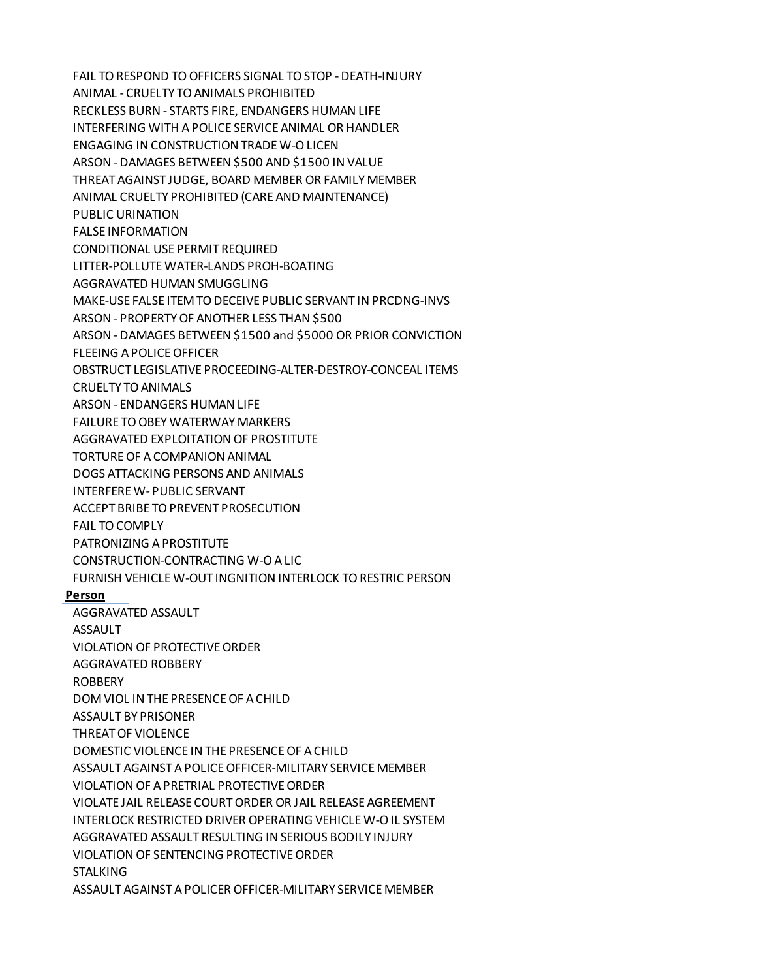FAIL TO RESPOND TO OFFICERS SIGNAL TO STOP - DEATH-INJURY ANIMAL - CRUELTY TO ANIMALS PROHIBITED RECKLESS BURN - STARTS FIRE, ENDANGERS HUMAN LIFE INTERFERING WITH A POLICE SERVICE ANIMAL OR HANDLER ENGAGING IN CONSTRUCTION TRADE W-O LICEN ARSON - DAMAGES BETWEEN \$500 AND \$1500 IN VALUE THREAT AGAINST JUDGE, BOARD MEMBER OR FAMILY MEMBER ANIMAL CRUELTY PROHIBITED (CARE AND MAINTENANCE) PUBLIC URINATION FALSE INFORMATION CONDITIONAL USE PERMIT REQUIRED LITTER-POLLUTE WATER-LANDS PROH-BOATING AGGRAVATED HUMAN SMUGGLING MAKE-USE FALSE ITEM TO DECEIVE PUBLIC SERVANT IN PRCDNG-INVS ARSON - PROPERTY OF ANOTHER LESS THAN \$500 ARSON - DAMAGES BETWEEN \$1500 and \$5000 OR PRIOR CONVICTION FLEEING A POLICE OFFICER OBSTRUCT LEGISLATIVE PROCEEDING-ALTER-DESTROY-CONCEAL ITEMS CRUELTY TO ANIMALS ARSON - ENDANGERS HUMAN LIFE FAILURE TO OBEY WATERWAY MARKERS AGGRAVATED EXPLOITATION OF PROSTITUTE TORTURE OF A COMPANION ANIMAL DOGS ATTACKING PERSONS AND ANIMALS INTERFERE W- PUBLIC SERVANT ACCEPT BRIBE TO PREVENT PROSECUTION FAIL TO COMPLY PATRONIZING A PROSTITUTE CONSTRUCTION-CONTRACTING W-O A LIC FURNISH VEHICLE W-OUT INGNITION INTERLOCK TO RESTRIC PERSON **Person** AGGRAVATED ASSAULT ASSAULT VIOLATION OF PROTECTIVE ORDER AGGRAVATED ROBBERY ROBBERY DOM VIOL IN THE PRESENCE OF A CHILD ASSAULT BY PRISONER THREAT OF VIOLENCE DOMESTIC VIOLENCE IN THE PRESENCE OF A CHILD ASSAULT AGAINST A POLICE OFFICER-MILITARY SERVICE MEMBER VIOLATION OF A PRETRIAL PROTECTIVE ORDER VIOLATE JAIL RELEASE COURT ORDER OR JAIL RELEASE AGREEMENT INTERLOCK RESTRICTED DRIVER OPERATING VEHICLE W-O IL SYSTEM AGGRAVATED ASSAULT RESULTING IN SERIOUS BODILY INJURY VIOLATION OF SENTENCING PROTECTIVE ORDER **STALKING** ASSAULT AGAINST A POLICER OFFICER-MILITARY SERVICE MEMBER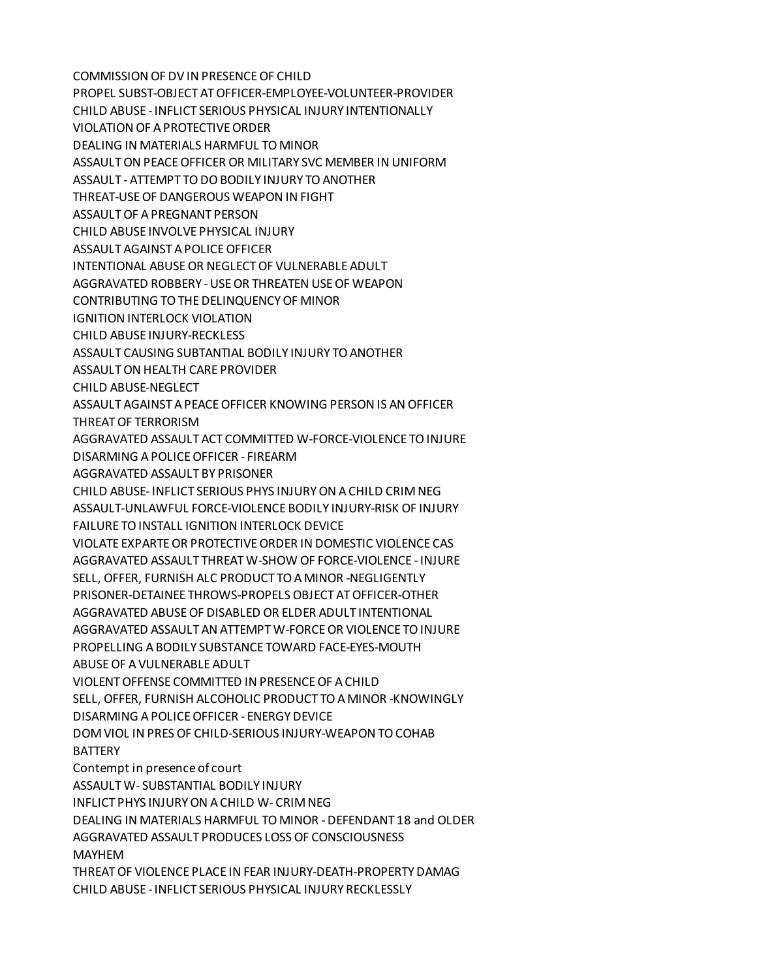COMMISSION OF DV IN PRESENCE OF CHILD PROPEL SUBST-OBJECT AT OFFICER-EMPLOYEE-VOLUNTEER-PROVIDER CHILD ABUSE - INFLICT SERIOUS PHYSICAL INJURY INTENTIONALLY VIOLATION OF A PROTECTIVE ORDER DEALING IN MATERIALS HARMFUL TO MINOR ASSAULT ON PEACE OFFICER OR MILITARY SVC MEMBER IN UNIFORM ASSAULT - ATTEMPT TO DO BODILY INJURY TO ANOTHER THREAT-USE OF DANGEROUS WEAPON IN FIGHT ASSAULT OF A PREGNANT PERSON CHILD ABUSE INVOLVE PHYSICAL INJURY ASSAULT AGAINST A POLICE OFFICER INTENTIONAL ABUSE OR NEGLECT OF VULNERABLE ADULT AGGRAVATED ROBBERY - USE OR THREATEN USE OF WEAPON CONTRIBUTING TO THE DELINQUENCY OF MINOR IGNITION INTERLOCK VIOLATION CHILD ABUSE INJURY-RECKLESS ASSAULT CAUSING SUBTANTIAL BODILY INJURY TO ANOTHER ASSAULT ON HEALTH CARE PROVIDER CHILD ABUSE-NEGLECT ASSAULT AGAINST A PEACE OFFICER KNOWING PERSON IS AN OFFICER THREAT OF TERRORISM AGGRAVATED ASSAULT ACT COMMITTED W-FORCE-VIOLENCE TO INJURE DISARMING A POLICE OFFICER - FIREARM AGGRAVATED ASSAULT BY PRISONER CHILD ABUSE- INFLICT SERIOUS PHYS INJURY ON A CHILD CRIM NEG ASSAULT-UNLAWFUL FORCE-VIOLENCE BODILY INJURY-RISK OF INJURY FAILURE TO INSTALL IGNITION INTERLOCK DEVICE VIOLATE EXPARTE OR PROTECTIVE ORDER IN DOMESTIC VIOLENCE CAS AGGRAVATED ASSAULT THREAT W-SHOW OF FORCE-VIOLENCE - INJURE SELL, OFFER, FURNISH ALC PRODUCT TO A MINOR -NEGLIGENTLY PRISONER-DETAINEE THROWS-PROPELS OBJECT AT OFFICER-OTHER AGGRAVATED ABUSE OF DISABLED OR ELDER ADULT INTENTIONAL AGGRAVATED ASSAULT AN ATTEMPT W-FORCE OR VIOLENCE TO INJURE PROPELLING A BODILY SUBSTANCE TOWARD FACE-EYES-MOUTH ABUSE OF A VULNERABLE ADULT VIOLENT OFFENSE COMMITTED IN PRESENCE OF A CHILD SELL, OFFER, FURNISH ALCOHOLIC PRODUCT TO A MINOR -KNOWINGLY DISARMING A POLICE OFFICER - ENERGY DEVICE DOM VIOL IN PRES OF CHILD-SERIOUS INJURY-WEAPON TO COHAB **BATTERY** Contempt in presence of court ASSAULT W- SUBSTANTIAL BODILY INJURY INFLICT PHYS INJURY ON A CHILD W- CRIM NEG DEALING IN MATERIALS HARMFUL TO MINOR - DEFENDANT 18 and OLDER AGGRAVATED ASSAULT PRODUCES LOSS OF CONSCIOUSNESS MAYHEM THREAT OF VIOLENCE PLACE IN FEAR INJURY-DEATH-PROPERTY DAMAG CHILD ABUSE - INFLICT SERIOUS PHYSICAL INJURY RECKLESSLY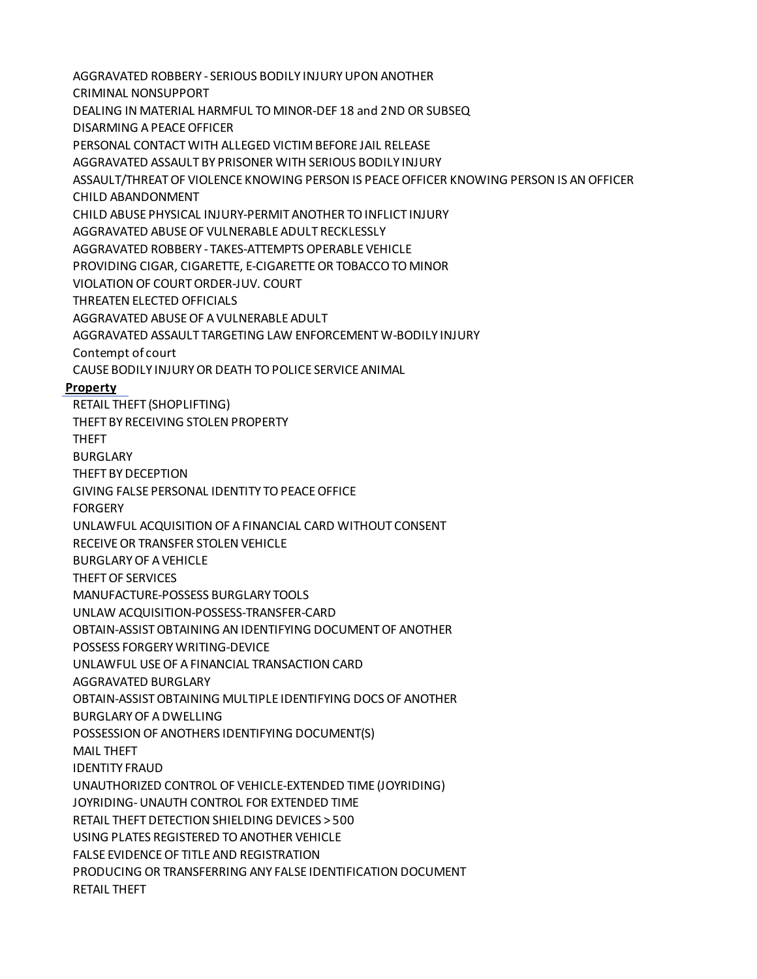AGGRAVATED ROBBERY - SERIOUS BODILY INJURY UPON ANOTHER CRIMINAL NONSUPPORT DEALING IN MATERIAL HARMFUL TO MINOR-DEF 18 and 2ND OR SUBSEQ DISARMING A PEACE OFFICER PERSONAL CONTACT WITH ALLEGED VICTIM BEFORE JAIL RELEASE AGGRAVATED ASSAULT BY PRISONER WITH SERIOUS BODILY INJURY ASSAULT/THREAT OF VIOLENCE KNOWING PERSON IS PEACE OFFICER KNOWING PERSON IS AN OFFICER CHILD ABANDONMENT CHILD ABUSE PHYSICAL INJURY-PERMIT ANOTHER TO INFLICT INJURY AGGRAVATED ABUSE OF VULNERABLE ADULT RECKLESSLY AGGRAVATED ROBBERY - TAKES-ATTEMPTS OPERABLE VEHICLE PROVIDING CIGAR, CIGARETTE, E-CIGARETTE OR TOBACCO TO MINOR VIOLATION OF COURT ORDER-JUV. COURT THREATEN ELECTED OFFICIALS AGGRAVATED ABUSE OF A VULNERABLE ADULT AGGRAVATED ASSAULT TARGETING LAW ENFORCEMENT W-BODILY INJURY Contempt of court CAUSE BODILY INJURY OR DEATH TO POLICE SERVICE ANIMAL **Property** RETAIL THEFT (SHOPLIFTING) THEFT BY RECEIVING STOLEN PROPERTY THEFT BURGLARY THEFT BY DECEPTION GIVING FALSE PERSONAL IDENTITY TO PEACE OFFICE FORGERY UNLAWFUL ACQUISITION OF A FINANCIAL CARD WITHOUT CONSENT RECEIVE OR TRANSFER STOLEN VEHICLE BURGLARY OF A VEHICLE THEFT OF SERVICES MANUFACTURE-POSSESS BURGLARY TOOLS UNLAW ACQUISITION-POSSESS-TRANSFER-CARD OBTAIN-ASSIST OBTAINING AN IDENTIFYING DOCUMENT OF ANOTHER POSSESS FORGERY WRITING-DEVICE UNLAWFUL USE OF A FINANCIAL TRANSACTION CARD AGGRAVATED BURGLARY OBTAIN-ASSIST OBTAINING MULTIPLE IDENTIFYING DOCS OF ANOTHER BURGLARY OF A DWELLING POSSESSION OF ANOTHERS IDENTIFYING DOCUMENT(S) MAIL THEFT IDENTITY FRAUD UNAUTHORIZED CONTROL OF VEHICLE-EXTENDED TIME (JOYRIDING) JOYRIDING- UNAUTH CONTROL FOR EXTENDED TIME RETAIL THEFT DETECTION SHIELDING DEVICES > 500 USING PLATES REGISTERED TO ANOTHER VEHICLE FALSE EVIDENCE OF TITLE AND REGISTRATION PRODUCING OR TRANSFERRING ANY FALSE IDENTIFICATION DOCUMENT RETAIL THEFT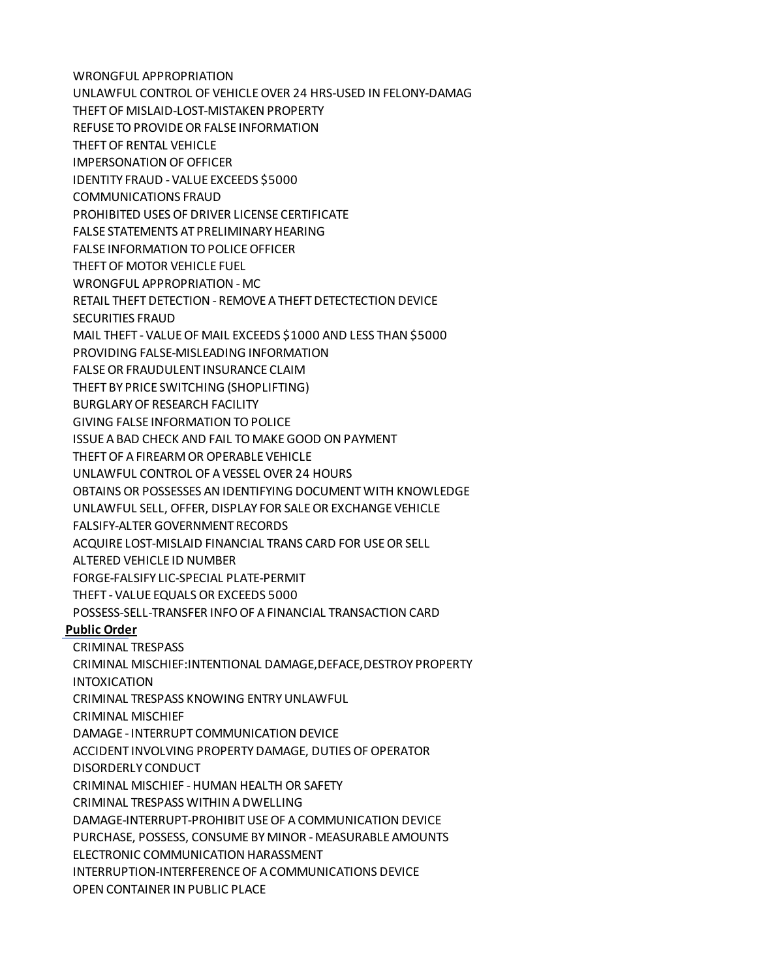WRONGFUL APPROPRIATION UNLAWFUL CONTROL OF VEHICLE OVER 24 HRS-USED IN FELONY-DAMAG THEFT OF MISLAID-LOST-MISTAKEN PROPERTY REFUSE TO PROVIDE OR FALSE INFORMATION THEFT OF RENTAL VEHICLE IMPERSONATION OF OFFICER IDENTITY FRAUD - VALUE EXCEEDS \$5000 COMMUNICATIONS FRAUD PROHIBITED USES OF DRIVER LICENSE CERTIFICATE FALSE STATEMENTS AT PRELIMINARY HEARING FALSE INFORMATION TO POLICE OFFICER THEFT OF MOTOR VEHICLE FUEL WRONGFUL APPROPRIATION - MC RETAIL THEFT DETECTION - REMOVE A THEFT DETECTECTION DEVICE SECURITIES FRAUD MAIL THEFT - VALUE OF MAIL EXCEEDS \$1000 AND LESS THAN \$5000 PROVIDING FALSE-MISLEADING INFORMATION FALSE OR FRAUDULENT INSURANCE CLAIM THEFT BY PRICE SWITCHING (SHOPLIFTING) BURGLARY OF RESEARCH FACILITY GIVING FALSE INFORMATION TO POLICE ISSUE A BAD CHECK AND FAIL TO MAKE GOOD ON PAYMENT THEFT OF A FIREARM OR OPERABLE VEHICLE UNLAWFUL CONTROL OF A VESSEL OVER 24 HOURS OBTAINS OR POSSESSES AN IDENTIFYING DOCUMENT WITH KNOWLEDGE UNLAWFUL SELL, OFFER, DISPLAY FOR SALE OR EXCHANGE VEHICLE FALSIFY-ALTER GOVERNMENT RECORDS ACQUIRE LOST-MISLAID FINANCIAL TRANS CARD FOR USE OR SELL ALTERED VEHICLE ID NUMBER FORGE-FALSIFY LIC-SPECIAL PLATE-PERMIT THEFT - VALUE EQUALS OR EXCEEDS 5000 POSSESS-SELL-TRANSFER INFO OF A FINANCIAL TRANSACTION CARD **Public Order** CRIMINAL TRESPASS CRIMINAL MISCHIEF:INTENTIONAL DAMAGE,DEFACE,DESTROY PROPERTY INTOXICATION CRIMINAL TRESPASS KNOWING ENTRY UNLAWFUL CRIMINAL MISCHIEF DAMAGE - INTERRUPT COMMUNICATION DEVICE ACCIDENT INVOLVING PROPERTY DAMAGE, DUTIES OF OPERATOR DISORDERLY CONDUCT CRIMINAL MISCHIEF - HUMAN HEALTH OR SAFETY CRIMINAL TRESPASS WITHIN A DWELLING DAMAGE-INTERRUPT-PROHIBIT USE OF A COMMUNICATION DEVICE PURCHASE, POSSESS, CONSUME BY MINOR - MEASURABLE AMOUNTS ELECTRONIC COMMUNICATION HARASSMENT INTERRUPTION-INTERFERENCE OF A COMMUNICATIONS DEVICE OPEN CONTAINER IN PUBLIC PLACE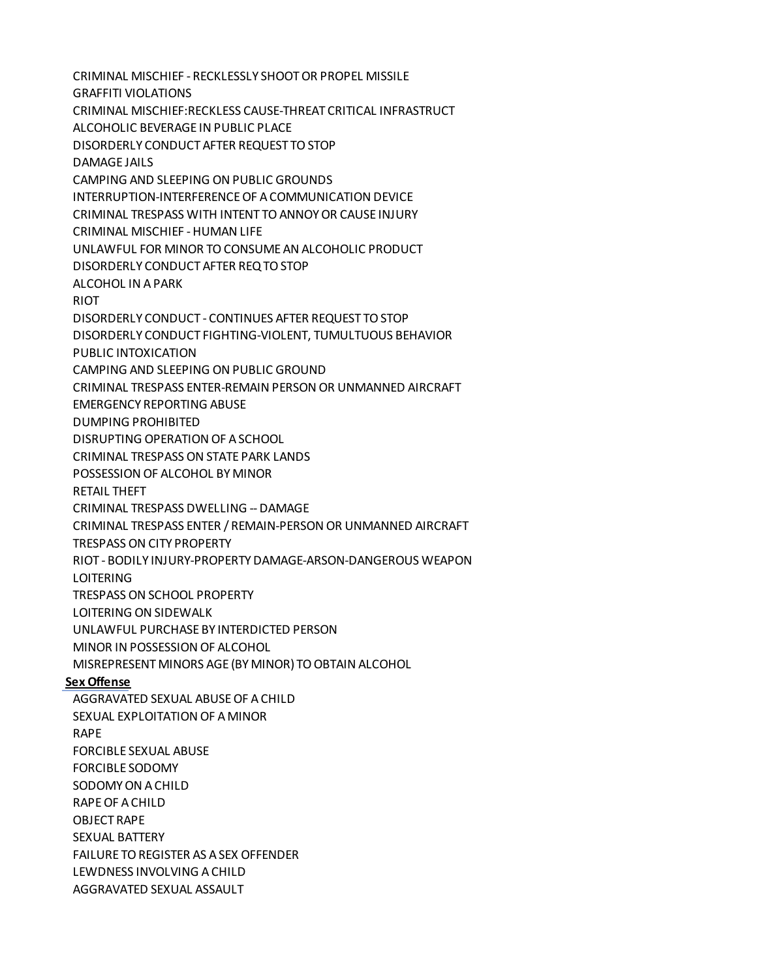CRIMINAL MISCHIEF - RECKLESSLY SHOOT OR PROPEL MISSILE GRAFFITI VIOLATIONS CRIMINAL MISCHIEF:RECKLESS CAUSE-THREAT CRITICAL INFRASTRUCT ALCOHOLIC BEVERAGE IN PUBLIC PLACE DISORDERLY CONDUCT AFTER REQUEST TO STOP DAMAGE JAILS CAMPING AND SLEEPING ON PUBLIC GROUNDS INTERRUPTION-INTERFERENCE OF A COMMUNICATION DEVICE CRIMINAL TRESPASS WITH INTENT TO ANNOY OR CAUSE INJURY CRIMINAL MISCHIEF - HUMAN LIFE UNLAWFUL FOR MINOR TO CONSUME AN ALCOHOLIC PRODUCT DISORDERLY CONDUCT AFTER REQ TO STOP ALCOHOL IN A PARK RIOT DISORDERLY CONDUCT - CONTINUES AFTER REQUEST TO STOP DISORDERLY CONDUCT FIGHTING-VIOLENT, TUMULTUOUS BEHAVIOR PUBLIC INTOXICATION CAMPING AND SLEEPING ON PUBLIC GROUND CRIMINAL TRESPASS ENTER-REMAIN PERSON OR UNMANNED AIRCRAFT EMERGENCY REPORTING ABUSE DUMPING PROHIBITED DISRUPTING OPERATION OF A SCHOOL CRIMINAL TRESPASS ON STATE PARK LANDS POSSESSION OF ALCOHOL BY MINOR RETAIL THEFT CRIMINAL TRESPASS DWELLING -- DAMAGE CRIMINAL TRESPASS ENTER / REMAIN-PERSON OR UNMANNED AIRCRAFT TRESPASS ON CITY PROPERTY RIOT - BODILY INJURY-PROPERTY DAMAGE-ARSON-DANGEROUS WEAPON LOITERING TRESPASS ON SCHOOL PROPERTY LOITERING ON SIDEWALK UNLAWFUL PURCHASE BY INTERDICTED PERSON MINOR IN POSSESSION OF ALCOHOL MISREPRESENT MINORS AGE (BY MINOR) TO OBTAIN ALCOHOL **Sex Offense** AGGRAVATED SEXUAL ABUSE OF A CHILD SEXUAL EXPLOITATION OF A MINOR RAPE FORCIBLE SEXUAL ABUSE FORCIBLE SODOMY SODOMY ON A CHILD RAPE OF A CHILD OBJECT RAPE SEXUAL BATTERY FAILURE TO REGISTER AS A SEX OFFENDER LEWDNESS INVOLVING A CHILD

AGGRAVATED SEXUAL ASSAULT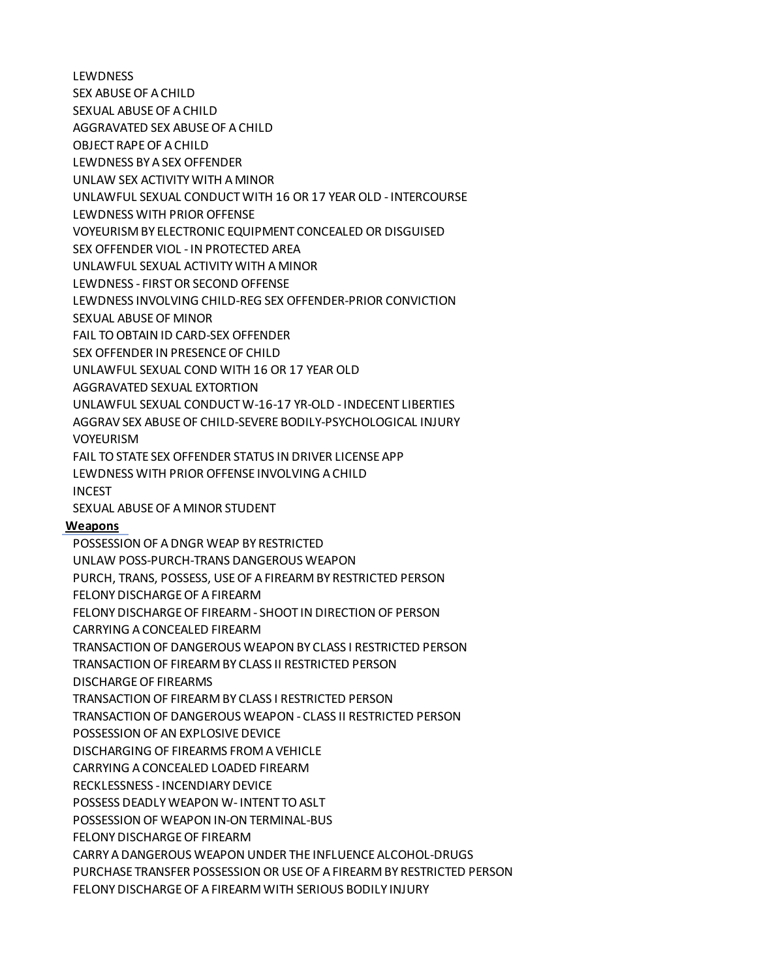**LEWDNESS** 

SEX ABUSE OF A CHILD

SEXUAL ABUSE OF A CHILD

AGGRAVATED SEX ABUSE OF A CHILD

OBJECT RAPE OF A CHILD

LEWDNESS BY A SEX OFFENDER

UNLAW SEX ACTIVITY WITH A MINOR

UNLAWFUL SEXUAL CONDUCT WITH 16 OR 17 YEAR OLD - INTERCOURSE

LEWDNESS WITH PRIOR OFFENSE

VOYEURISM BY ELECTRONIC EQUIPMENT CONCEALED OR DISGUISED

SEX OFFENDER VIOL - IN PROTECTED AREA

UNLAWFUL SEXUAL ACTIVITY WITH A MINOR

LEWDNESS - FIRST OR SECOND OFFENSE

LEWDNESS INVOLVING CHILD-REG SEX OFFENDER-PRIOR CONVICTION

SEXUAL ABUSE OF MINOR

FAIL TO OBTAIN ID CARD-SEX OFFENDER

SEX OFFENDER IN PRESENCE OF CHILD

UNLAWFUL SEXUAL COND WITH 16 OR 17 YEAR OLD

AGGRAVATED SEXUAL EXTORTION

UNLAWFUL SEXUAL CONDUCT W-16-17 YR-OLD - INDECENT LIBERTIES

AGGRAV SEX ABUSE OF CHILD-SEVERE BODILY-PSYCHOLOGICAL INJURY

VOYEURISM

FAIL TO STATE SEX OFFENDER STATUS IN DRIVER LICENSE APP

LEWDNESS WITH PRIOR OFFENSE INVOLVING A CHILD

INCEST

SEXUAL ABUSE OF A MINOR STUDENT

## **Weapons**

POSSESSION OF A DNGR WEAP BY RESTRICTED UNLAW POSS-PURCH-TRANS DANGEROUS WEAPON PURCH, TRANS, POSSESS, USE OF A FIREARM BY RESTRICTED PERSON FELONY DISCHARGE OF A FIREARM FELONY DISCHARGE OF FIREARM - SHOOT IN DIRECTION OF PERSON CARRYING A CONCEALED FIREARM TRANSACTION OF DANGEROUS WEAPON BY CLASS I RESTRICTED PERSON TRANSACTION OF FIREARM BY CLASS II RESTRICTED PERSON DISCHARGE OF FIREARMS TRANSACTION OF FIREARM BY CLASS I RESTRICTED PERSON TRANSACTION OF DANGEROUS WEAPON - CLASS II RESTRICTED PERSON POSSESSION OF AN EXPLOSIVE DEVICE DISCHARGING OF FIREARMS FROM A VEHICLE CARRYING A CONCEALED LOADED FIREARM RECKLESSNESS - INCENDIARY DEVICE POSSESS DEADLY WEAPON W- INTENT TO ASLT POSSESSION OF WEAPON IN-ON TERMINAL-BUS FELONY DISCHARGE OF FIREARM CARRY A DANGEROUS WEAPON UNDER THE INFLUENCE ALCOHOL-DRUGS PURCHASE TRANSFER POSSESSION OR USE OF A FIREARM BY RESTRICTED PERSON FELONY DISCHARGE OF A FIREARM WITH SERIOUS BODILY INJURY